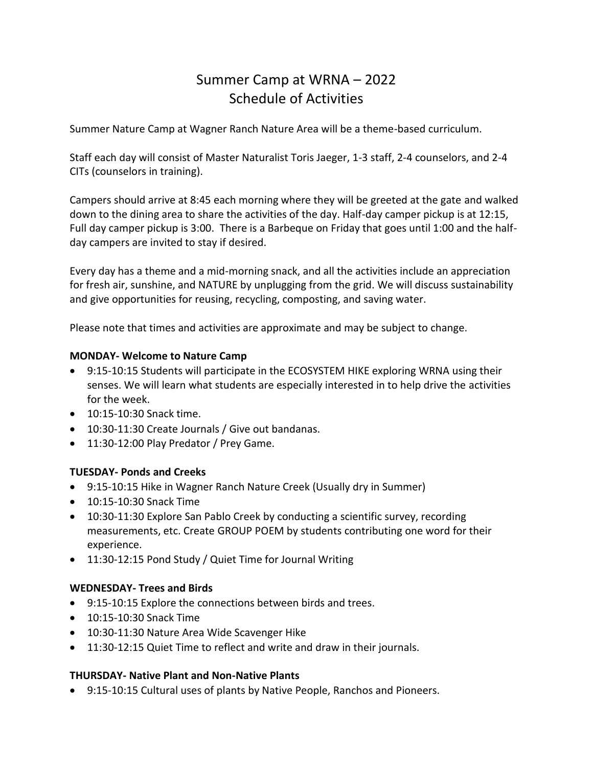# Summer Camp at WRNA – 2022 Schedule of Activities

Summer Nature Camp at Wagner Ranch Nature Area will be a theme-based curriculum.

Staff each day will consist of Master Naturalist Toris Jaeger, 1-3 staff, 2-4 counselors, and 2-4 CITs (counselors in training).

Campers should arrive at 8:45 each morning where they will be greeted at the gate and walked down to the dining area to share the activities of the day. Half-day camper pickup is at 12:15, Full day camper pickup is 3:00. There is a Barbeque on Friday that goes until 1:00 and the halfday campers are invited to stay if desired.

Every day has a theme and a mid-morning snack, and all the activities include an appreciation for fresh air, sunshine, and NATURE by unplugging from the grid. We will discuss sustainability and give opportunities for reusing, recycling, composting, and saving water.

Please note that times and activities are approximate and may be subject to change.

#### **MONDAY- Welcome to Nature Camp**

- 9:15-10:15 Students will participate in the ECOSYSTEM HIKE exploring WRNA using their senses. We will learn what students are especially interested in to help drive the activities for the week.
- 10:15-10:30 Snack time.
- 10:30-11:30 Create Journals / Give out bandanas.
- 11:30-12:00 Play Predator / Prey Game.

### **TUESDAY- Ponds and Creeks**

- 9:15-10:15 Hike in Wagner Ranch Nature Creek (Usually dry in Summer)
- 10:15-10:30 Snack Time
- 10:30-11:30 Explore San Pablo Creek by conducting a scientific survey, recording measurements, etc. Create GROUP POEM by students contributing one word for their experience.
- 11:30-12:15 Pond Study / Quiet Time for Journal Writing

### **WEDNESDAY- Trees and Birds**

- 9:15-10:15 Explore the connections between birds and trees.
- 10:15-10:30 Snack Time
- 10:30-11:30 Nature Area Wide Scavenger Hike
- 11:30-12:15 Quiet Time to reflect and write and draw in their journals.

#### **THURSDAY- Native Plant and Non-Native Plants**

• 9:15-10:15 Cultural uses of plants by Native People, Ranchos and Pioneers.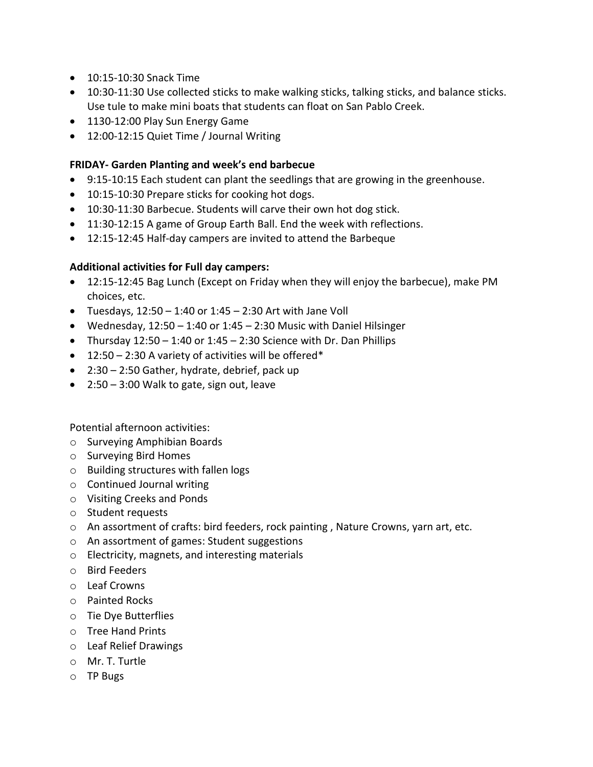- 10:15-10:30 Snack Time
- 10:30-11:30 Use collected sticks to make walking sticks, talking sticks, and balance sticks. Use tule to make mini boats that students can float on San Pablo Creek.
- 1130-12:00 Play Sun Energy Game
- 12:00-12:15 Quiet Time / Journal Writing

## **FRIDAY- Garden Planting and week's end barbecue**

- 9:15-10:15 Each student can plant the seedlings that are growing in the greenhouse.
- 10:15-10:30 Prepare sticks for cooking hot dogs.
- 10:30-11:30 Barbecue. Students will carve their own hot dog stick.
- 11:30-12:15 A game of Group Earth Ball. End the week with reflections.
- 12:15-12:45 Half-day campers are invited to attend the Barbeque

## **Additional activities for Full day campers:**

- 12:15-12:45 Bag Lunch (Except on Friday when they will enjoy the barbecue), make PM choices, etc.
- Tuesdays,  $12:50 1:40$  or  $1:45 2:30$  Art with Jane Voll
- Wednesday,  $12:50 1:40$  or  $1:45 2:30$  Music with Daniel Hilsinger
- Thursday  $12:50 1:40$  or  $1:45 2:30$  Science with Dr. Dan Phillips
- $\bullet$  12:50 2:30 A variety of activities will be offered\*
- 2:30 2:50 Gather, hydrate, debrief, pack up
- 2:50 3:00 Walk to gate, sign out, leave

Potential afternoon activities:

- o Surveying Amphibian Boards
- o Surveying Bird Homes
- o Building structures with fallen logs
- o Continued Journal writing
- o Visiting Creeks and Ponds
- o Student requests
- o An assortment of crafts: bird feeders, rock painting , Nature Crowns, yarn art, etc.
- o An assortment of games: Student suggestions
- o Electricity, magnets, and interesting materials
- o Bird Feeders
- o Leaf Crowns
- o Painted Rocks
- o Tie Dye Butterflies
- o Tree Hand Prints
- o Leaf Relief Drawings
- o Mr. T. Turtle
- o TP Bugs